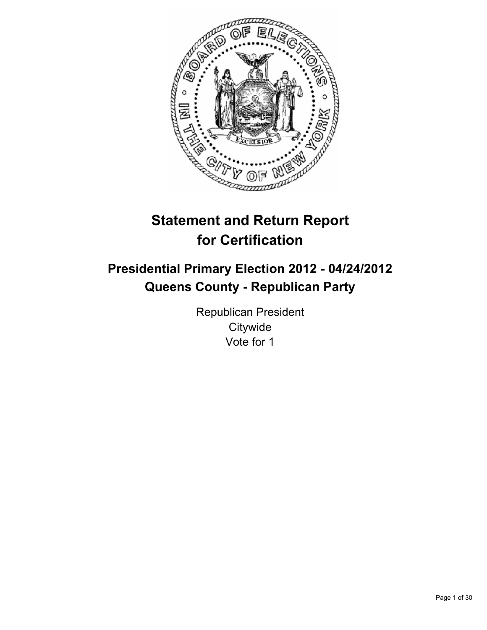

# **Statement and Return Report for Certification**

## **Presidential Primary Election 2012 - 04/24/2012 Queens County - Republican Party**

Republican President **Citywide** Vote for 1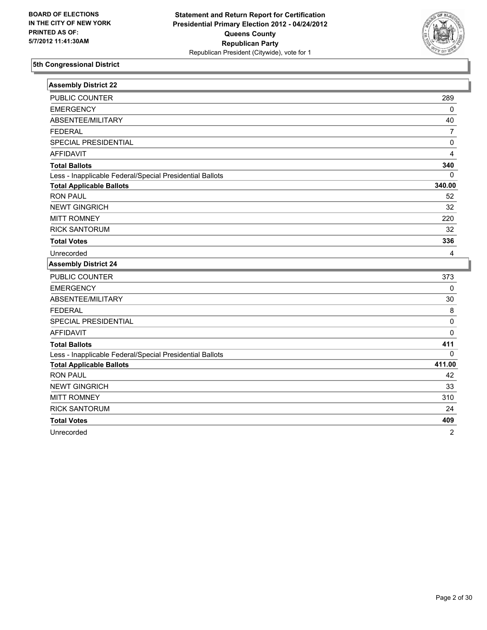

| <b>Assembly District 22</b>                              |             |
|----------------------------------------------------------|-------------|
| PUBLIC COUNTER                                           | 289         |
| <b>EMERGENCY</b>                                         | 0           |
| ABSENTEE/MILITARY                                        | 40          |
| <b>FEDERAL</b>                                           | 7           |
| SPECIAL PRESIDENTIAL                                     | 0           |
| <b>AFFIDAVIT</b>                                         | 4           |
| <b>Total Ballots</b>                                     | 340         |
| Less - Inapplicable Federal/Special Presidential Ballots | 0           |
| <b>Total Applicable Ballots</b>                          | 340.00      |
| <b>RON PAUL</b>                                          | 52          |
| <b>NEWT GINGRICH</b>                                     | 32          |
| <b>MITT ROMNEY</b>                                       | 220         |
| <b>RICK SANTORUM</b>                                     | 32          |
| <b>Total Votes</b>                                       | 336         |
| Unrecorded                                               | 4           |
|                                                          |             |
| <b>Assembly District 24</b>                              |             |
| <b>PUBLIC COUNTER</b>                                    | 373         |
| <b>EMERGENCY</b>                                         | $\mathbf 0$ |
| ABSENTEE/MILITARY                                        | 30          |
| <b>FEDERAL</b>                                           | 8           |
| SPECIAL PRESIDENTIAL                                     | 0           |
| <b>AFFIDAVIT</b>                                         | 0           |
| <b>Total Ballots</b>                                     | 411         |
| Less - Inapplicable Federal/Special Presidential Ballots | 0           |
| <b>Total Applicable Ballots</b>                          | 411.00      |
| <b>RON PAUL</b>                                          | 42          |
| <b>NEWT GINGRICH</b>                                     | 33          |
| <b>MITT ROMNEY</b>                                       | 310         |
| <b>RICK SANTORUM</b>                                     | 24          |
| <b>Total Votes</b>                                       | 409         |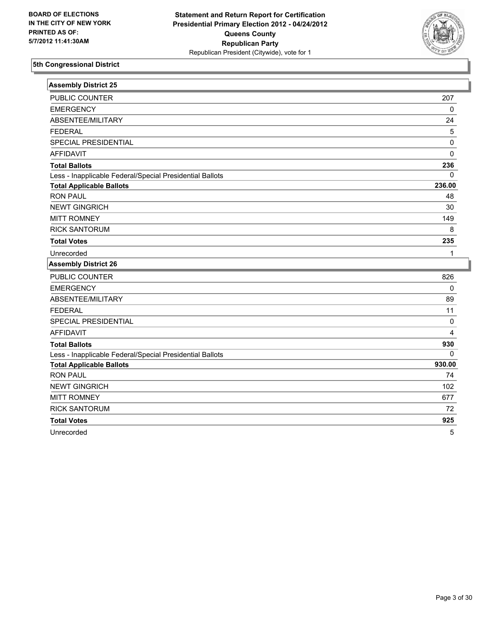

| <b>Assembly District 25</b>                              |             |
|----------------------------------------------------------|-------------|
| PUBLIC COUNTER                                           | 207         |
| <b>EMERGENCY</b>                                         | $\pmb{0}$   |
| ABSENTEE/MILITARY                                        | 24          |
| <b>FEDERAL</b>                                           | 5           |
| SPECIAL PRESIDENTIAL                                     | 0           |
| <b>AFFIDAVIT</b>                                         | $\Omega$    |
| <b>Total Ballots</b>                                     | 236         |
| Less - Inapplicable Federal/Special Presidential Ballots | 0           |
| <b>Total Applicable Ballots</b>                          | 236.00      |
| <b>RON PAUL</b>                                          | 48          |
| <b>NEWT GINGRICH</b>                                     | 30          |
| <b>MITT ROMNEY</b>                                       | 149         |
| <b>RICK SANTORUM</b>                                     | 8           |
| <b>Total Votes</b>                                       | 235         |
| Unrecorded                                               | 1           |
|                                                          |             |
| <b>Assembly District 26</b>                              |             |
| PUBLIC COUNTER                                           | 826         |
| <b>EMERGENCY</b>                                         | $\mathbf 0$ |
| ABSENTEE/MILITARY                                        | 89          |
| <b>FEDERAL</b>                                           | 11          |
| SPECIAL PRESIDENTIAL                                     | 0           |
| <b>AFFIDAVIT</b>                                         | 4           |
| <b>Total Ballots</b>                                     | 930         |
| Less - Inapplicable Federal/Special Presidential Ballots | 0           |
| <b>Total Applicable Ballots</b>                          | 930.00      |
| <b>RON PAUL</b>                                          | 74          |
| <b>NEWT GINGRICH</b>                                     | 102         |
| <b>MITT ROMNEY</b>                                       | 677         |
| <b>RICK SANTORUM</b>                                     | 72          |
| <b>Total Votes</b>                                       | 925         |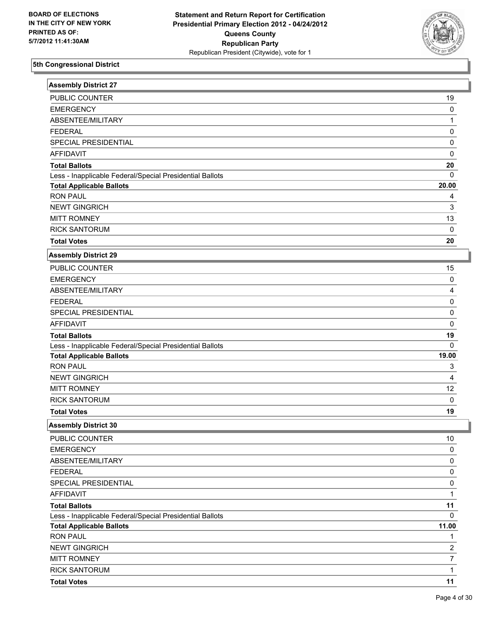

| <b>Assembly District 27</b>                              |                |
|----------------------------------------------------------|----------------|
| PUBLIC COUNTER                                           | 19             |
| <b>EMERGENCY</b>                                         | 0              |
| ABSENTEE/MILITARY                                        | $\mathbf{1}$   |
| <b>FEDERAL</b>                                           | 0              |
| SPECIAL PRESIDENTIAL                                     | 0              |
| <b>AFFIDAVIT</b>                                         | 0              |
| <b>Total Ballots</b>                                     | 20             |
| Less - Inapplicable Federal/Special Presidential Ballots | 0              |
| <b>Total Applicable Ballots</b>                          | 20.00          |
| <b>RON PAUL</b>                                          | 4              |
| <b>NEWT GINGRICH</b>                                     | 3              |
| <b>MITT ROMNEY</b>                                       | 13             |
| <b>RICK SANTORUM</b>                                     | 0              |
| <b>Total Votes</b>                                       | 20             |
| <b>Assembly District 29</b>                              |                |
| PUBLIC COUNTER                                           | 15             |
| <b>EMERGENCY</b>                                         | 0              |
| ABSENTEE/MILITARY                                        | 4              |
| <b>FEDERAL</b>                                           | 0              |
| SPECIAL PRESIDENTIAL                                     | 0              |
| <b>AFFIDAVIT</b>                                         | 0              |
| <b>Total Ballots</b>                                     | 19             |
| Less - Inapplicable Federal/Special Presidential Ballots | 0              |
| <b>Total Applicable Ballots</b>                          | 19.00          |
| <b>RON PAUL</b>                                          | 3              |
| <b>NEWT GINGRICH</b>                                     | 4              |
| <b>MITT ROMNEY</b>                                       | 12             |
| <b>RICK SANTORUM</b>                                     | 0              |
| <b>Total Votes</b>                                       | 19             |
| <b>Assembly District 30</b>                              |                |
| PUBLIC COUNTER                                           | $10$           |
| <b>EMERGENCY</b>                                         | 0              |
| ABSENTEE/MILITARY                                        | 0              |
| <b>FEDERAL</b>                                           | 0              |
| SPECIAL PRESIDENTIAL                                     | 0              |
| <b>AFFIDAVIT</b>                                         | $\mathbf{1}$   |
| <b>Total Ballots</b>                                     | 11             |
| Less - Inapplicable Federal/Special Presidential Ballots | 0              |
| <b>Total Applicable Ballots</b>                          | 11.00          |
| <b>RON PAUL</b>                                          | 1              |
| <b>NEWT GINGRICH</b>                                     | $\overline{c}$ |
| <b>MITT ROMNEY</b>                                       | $\overline{7}$ |
| <b>RICK SANTORUM</b>                                     | $\mathbf{1}$   |
| <b>Total Votes</b>                                       | 11             |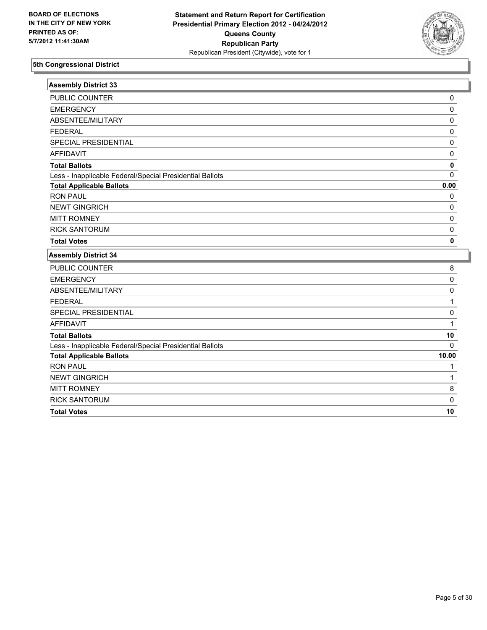

| <b>Assembly District 33</b>                              |          |
|----------------------------------------------------------|----------|
| PUBLIC COUNTER                                           | 0        |
| <b>EMERGENCY</b>                                         | 0        |
| ABSENTEE/MILITARY                                        | 0        |
| <b>FEDERAL</b>                                           | 0        |
| SPECIAL PRESIDENTIAL                                     | 0        |
| <b>AFFIDAVIT</b>                                         | 0        |
| <b>Total Ballots</b>                                     | 0        |
| Less - Inapplicable Federal/Special Presidential Ballots | 0        |
| <b>Total Applicable Ballots</b>                          | 0.00     |
| <b>RON PAUL</b>                                          | 0        |
| <b>NEWT GINGRICH</b>                                     | 0        |
| <b>MITT ROMNEY</b>                                       | 0        |
| <b>RICK SANTORUM</b>                                     | 0        |
| <b>Total Votes</b>                                       | 0        |
| <b>Assembly District 34</b>                              |          |
| PUBLIC COUNTER                                           | 8        |
| <b>EMERGENCY</b>                                         | 0        |
| ABSENTEE/MILITARY                                        | 0        |
| <b>FEDERAL</b>                                           | 1        |
| SPECIAL PRESIDENTIAL                                     | 0        |
| <b>AFFIDAVIT</b>                                         | 1        |
| <b>Total Ballots</b>                                     | 10       |
| Less - Inapplicable Federal/Special Presidential Ballots | $\Omega$ |
|                                                          |          |
| <b>Total Applicable Ballots</b>                          | 10.00    |
| <b>RON PAUL</b>                                          | 1        |
| <b>NEWT GINGRICH</b>                                     | 1        |
| <b>MITT ROMNEY</b>                                       | 8        |
| <b>RICK SANTORUM</b>                                     | 0        |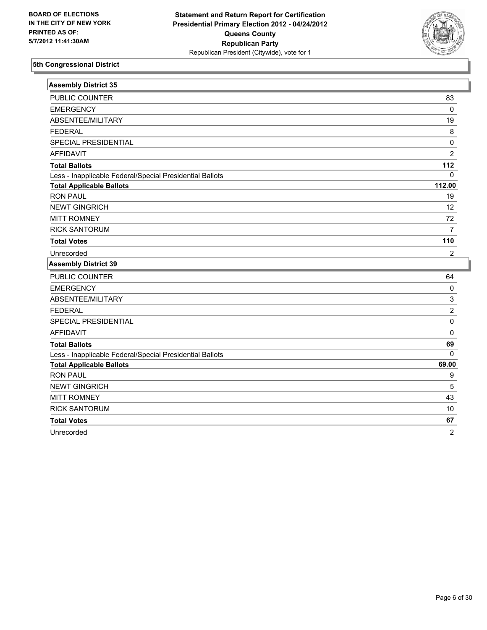

| <b>Assembly District 35</b>                              |                |
|----------------------------------------------------------|----------------|
| PUBLIC COUNTER                                           | 83             |
| <b>EMERGENCY</b>                                         | $\pmb{0}$      |
| ABSENTEE/MILITARY                                        | 19             |
| <b>FEDERAL</b>                                           | 8              |
| SPECIAL PRESIDENTIAL                                     | $\pmb{0}$      |
| <b>AFFIDAVIT</b>                                         | $\overline{2}$ |
| <b>Total Ballots</b>                                     | 112            |
| Less - Inapplicable Federal/Special Presidential Ballots | $\Omega$       |
| <b>Total Applicable Ballots</b>                          | 112.00         |
| <b>RON PAUL</b>                                          | 19             |
| <b>NEWT GINGRICH</b>                                     | 12             |
| <b>MITT ROMNEY</b>                                       | 72             |
| <b>RICK SANTORUM</b>                                     | $\overline{7}$ |
| <b>Total Votes</b>                                       | 110            |
| Unrecorded                                               | $\overline{2}$ |
|                                                          |                |
| <b>Assembly District 39</b>                              |                |
| PUBLIC COUNTER                                           | 64             |
| <b>EMERGENCY</b>                                         | $\pmb{0}$      |
| ABSENTEE/MILITARY                                        | 3              |
| <b>FEDERAL</b>                                           | $\overline{2}$ |
| SPECIAL PRESIDENTIAL                                     | $\pmb{0}$      |
| <b>AFFIDAVIT</b>                                         | $\Omega$       |
| <b>Total Ballots</b>                                     | 69             |
| Less - Inapplicable Federal/Special Presidential Ballots | $\mathbf{0}$   |
| <b>Total Applicable Ballots</b>                          | 69.00          |
| <b>RON PAUL</b>                                          | 9              |
| <b>NEWT GINGRICH</b>                                     | 5              |
| <b>MITT ROMNEY</b>                                       | 43             |
| <b>RICK SANTORUM</b>                                     | 10             |
| <b>Total Votes</b>                                       | 67             |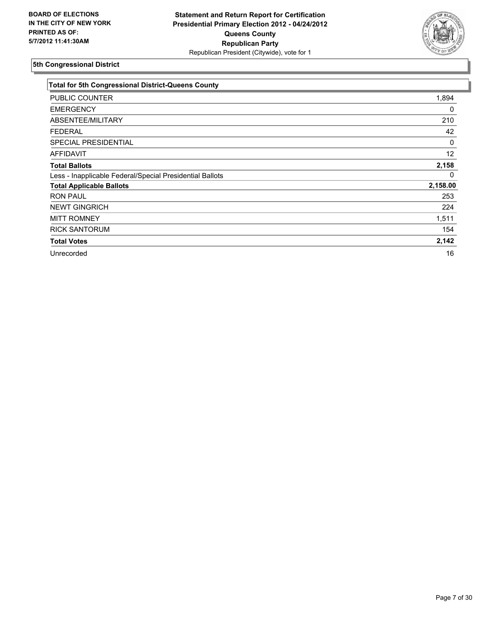

| <b>Total for 5th Congressional District-Queens County</b> |          |
|-----------------------------------------------------------|----------|
| <b>PUBLIC COUNTER</b>                                     | 1,894    |
| <b>EMERGENCY</b>                                          | 0        |
| ABSENTEE/MILITARY                                         | 210      |
| <b>FEDERAL</b>                                            | 42       |
| <b>SPECIAL PRESIDENTIAL</b>                               | 0        |
| <b>AFFIDAVIT</b>                                          | 12       |
| <b>Total Ballots</b>                                      | 2,158    |
| Less - Inapplicable Federal/Special Presidential Ballots  | 0        |
| <b>Total Applicable Ballots</b>                           | 2,158.00 |
| <b>RON PAUL</b>                                           | 253      |
| <b>NEWT GINGRICH</b>                                      | 224      |
| <b>MITT ROMNEY</b>                                        | 1,511    |
| <b>RICK SANTORUM</b>                                      | 154      |
| <b>Total Votes</b>                                        | 2,142    |
| Unrecorded                                                | 16       |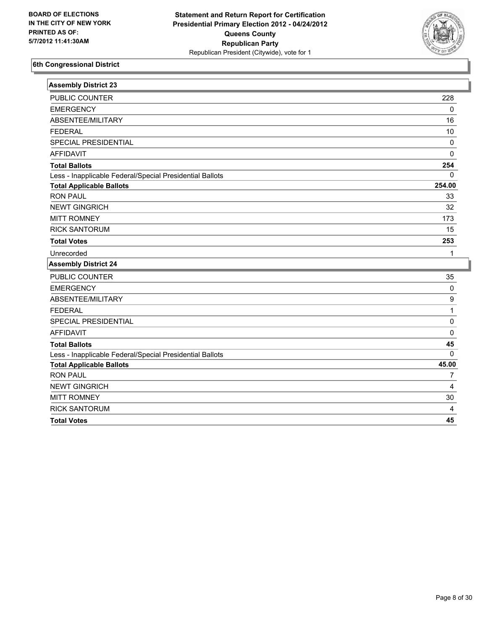

| <b>Assembly District 23</b>                              |             |
|----------------------------------------------------------|-------------|
| <b>PUBLIC COUNTER</b>                                    | 228         |
| <b>EMERGENCY</b>                                         | $\mathbf 0$ |
| ABSENTEE/MILITARY                                        | 16          |
| <b>FEDERAL</b>                                           | 10          |
| SPECIAL PRESIDENTIAL                                     | 0           |
| <b>AFFIDAVIT</b>                                         | $\Omega$    |
| <b>Total Ballots</b>                                     | 254         |
| Less - Inapplicable Federal/Special Presidential Ballots | $\mathbf 0$ |
| <b>Total Applicable Ballots</b>                          | 254.00      |
| <b>RON PAUL</b>                                          | 33          |
| <b>NEWT GINGRICH</b>                                     | 32          |
| <b>MITT ROMNEY</b>                                       | 173         |
| <b>RICK SANTORUM</b>                                     | 15          |
| <b>Total Votes</b>                                       | 253         |
| Unrecorded                                               | 1           |
| <b>Assembly District 24</b>                              |             |
| PUBLIC COUNTER                                           | 35          |
| <b>EMERGENCY</b>                                         | 0           |
| ABSENTEE/MILITARY                                        | 9           |
| <b>FEDERAL</b>                                           | 1           |
| SPECIAL PRESIDENTIAL                                     | $\mathbf 0$ |
| <b>AFFIDAVIT</b>                                         | 0           |
| <b>Total Ballots</b>                                     | 45          |
| Less - Inapplicable Federal/Special Presidential Ballots | $\Omega$    |
| <b>Total Applicable Ballots</b>                          | 45.00       |
| <b>RON PAUL</b>                                          | 7           |
| <b>NEWT GINGRICH</b>                                     | 4           |
| <b>MITT ROMNEY</b>                                       | 30          |
| <b>RICK SANTORUM</b>                                     | 4           |
| <b>Total Votes</b>                                       | 45          |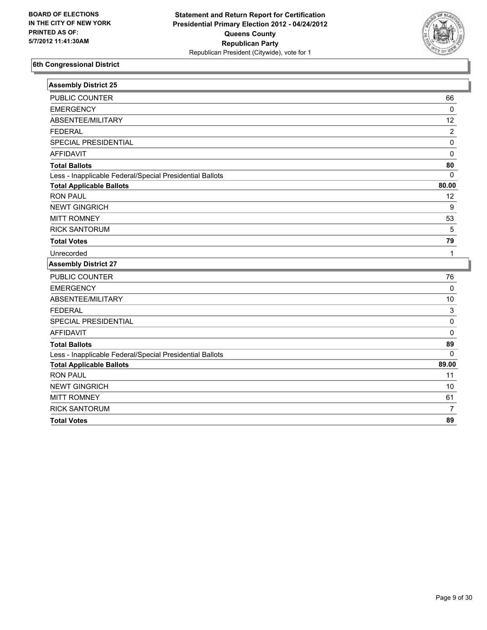

| <b>Assembly District 25</b>                              |                           |
|----------------------------------------------------------|---------------------------|
| PUBLIC COUNTER                                           | 66                        |
| <b>EMERGENCY</b>                                         | $\mathbf 0$               |
| ABSENTEE/MILITARY                                        | 12                        |
| <b>FEDERAL</b>                                           | $\overline{2}$            |
| SPECIAL PRESIDENTIAL                                     | $\pmb{0}$                 |
| <b>AFFIDAVIT</b>                                         | $\pmb{0}$                 |
| <b>Total Ballots</b>                                     | 80                        |
| Less - Inapplicable Federal/Special Presidential Ballots | $\mathbf 0$               |
| <b>Total Applicable Ballots</b>                          | 80.00                     |
| <b>RON PAUL</b>                                          | 12                        |
| <b>NEWT GINGRICH</b>                                     | $\boldsymbol{9}$          |
| <b>MITT ROMNEY</b>                                       | 53                        |
| <b>RICK SANTORUM</b>                                     | 5                         |
| <b>Total Votes</b>                                       | 79                        |
| Unrecorded                                               | 1                         |
| <b>Assembly District 27</b>                              |                           |
| PUBLIC COUNTER                                           | 76                        |
| <b>EMERGENCY</b>                                         | $\mathbf 0$               |
| ABSENTEE/MILITARY                                        | $10$                      |
| <b>FEDERAL</b>                                           | $\ensuremath{\mathsf{3}}$ |
| SPECIAL PRESIDENTIAL                                     | $\mathsf 0$               |
| <b>AFFIDAVIT</b>                                         | $\mathbf 0$               |
| <b>Total Ballots</b>                                     | 89                        |
| Less - Inapplicable Federal/Special Presidential Ballots | $\Omega$                  |
| <b>Total Applicable Ballots</b>                          | 89.00                     |
| <b>RON PAUL</b>                                          | 11                        |
| <b>NEWT GINGRICH</b>                                     | 10                        |
| <b>MITT ROMNEY</b>                                       | 61                        |
| <b>RICK SANTORUM</b>                                     | $\overline{7}$            |
| <b>Total Votes</b>                                       | 89                        |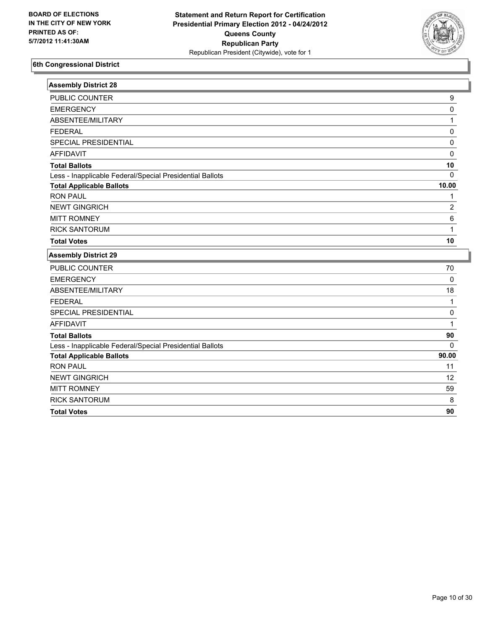

| <b>Assembly District 28</b>                              |                |
|----------------------------------------------------------|----------------|
| PUBLIC COUNTER                                           | 9              |
| <b>EMERGENCY</b>                                         | 0              |
| ABSENTEE/MILITARY                                        | 1              |
| <b>FEDERAL</b>                                           | $\pmb{0}$      |
| SPECIAL PRESIDENTIAL                                     | $\mathbf 0$    |
| <b>AFFIDAVIT</b>                                         | $\Omega$       |
| <b>Total Ballots</b>                                     | 10             |
| Less - Inapplicable Federal/Special Presidential Ballots | $\mathbf{0}$   |
| <b>Total Applicable Ballots</b>                          | 10.00          |
| <b>RON PAUL</b>                                          | 1              |
| <b>NEWT GINGRICH</b>                                     | $\overline{2}$ |
| <b>MITT ROMNEY</b>                                       | 6              |
| <b>RICK SANTORUM</b>                                     | 1              |
| <b>Total Votes</b>                                       | 10             |
| <b>Assembly District 29</b>                              |                |
| <b>PUBLIC COUNTER</b>                                    | 70             |
| <b>EMERGENCY</b>                                         | $\mathbf 0$    |
| ABSENTEE/MILITARY                                        | 18             |
| <b>FEDERAL</b>                                           | 1              |
| SPECIAL PRESIDENTIAL                                     | $\mathbf 0$    |
| <b>AFFIDAVIT</b>                                         | 1              |
| <b>Total Ballots</b>                                     | 90             |
| Less - Inapplicable Federal/Special Presidential Ballots | $\mathbf{0}$   |
| <b>Total Applicable Ballots</b>                          | 90.00          |
| <b>RON PAUL</b>                                          | 11             |
| <b>NEWT GINGRICH</b>                                     | 12             |
| <b>MITT ROMNEY</b>                                       | 59             |
| <b>RICK SANTORUM</b>                                     | 8              |
| <b>Total Votes</b>                                       | 90             |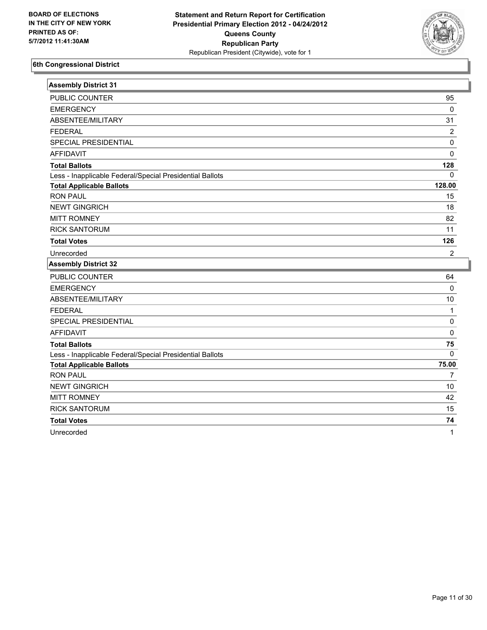

| <b>Assembly District 31</b>                              |                |
|----------------------------------------------------------|----------------|
| <b>PUBLIC COUNTER</b>                                    | 95             |
| <b>EMERGENCY</b>                                         | $\mathbf 0$    |
| ABSENTEE/MILITARY                                        | 31             |
| <b>FEDERAL</b>                                           | 2              |
| SPECIAL PRESIDENTIAL                                     | 0              |
| <b>AFFIDAVIT</b>                                         | 0              |
| <b>Total Ballots</b>                                     | 128            |
| Less - Inapplicable Federal/Special Presidential Ballots | 0              |
| <b>Total Applicable Ballots</b>                          | 128.00         |
| <b>RON PAUL</b>                                          | 15             |
| <b>NEWT GINGRICH</b>                                     | 18             |
| <b>MITT ROMNEY</b>                                       | 82             |
| <b>RICK SANTORUM</b>                                     | 11             |
| <b>Total Votes</b>                                       | 126            |
| Unrecorded                                               | 2              |
| <b>Assembly District 32</b>                              |                |
| <b>PUBLIC COUNTER</b>                                    | 64             |
|                                                          |                |
| <b>EMERGENCY</b>                                         | $\mathbf 0$    |
| ABSENTEE/MILITARY                                        | 10             |
| <b>FEDERAL</b>                                           | $\mathbf{1}$   |
| SPECIAL PRESIDENTIAL                                     | 0              |
| <b>AFFIDAVIT</b>                                         | $\Omega$       |
| <b>Total Ballots</b>                                     | 75             |
| Less - Inapplicable Federal/Special Presidential Ballots | $\mathbf{0}$   |
| <b>Total Applicable Ballots</b>                          | 75.00          |
| <b>RON PAUL</b>                                          | $\overline{7}$ |
| <b>NEWT GINGRICH</b>                                     | 10             |
| <b>MITT ROMNEY</b>                                       | 42             |
| <b>RICK SANTORUM</b>                                     | 15             |
| <b>Total Votes</b>                                       | 74             |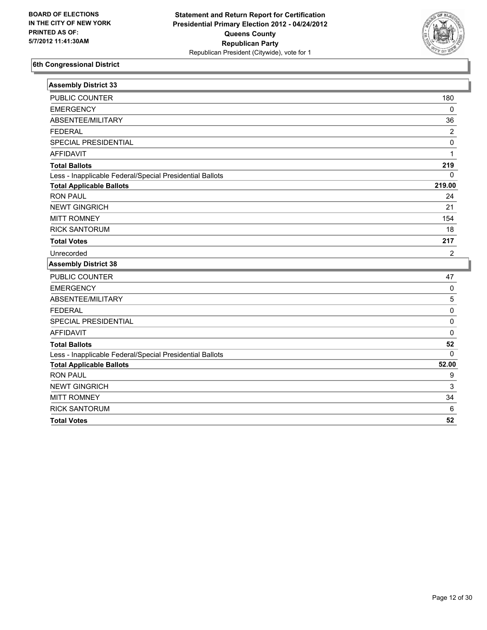

| <b>Assembly District 33</b>                              |              |
|----------------------------------------------------------|--------------|
| PUBLIC COUNTER                                           | 180          |
| <b>EMERGENCY</b>                                         | $\mathbf{0}$ |
| ABSENTEE/MILITARY                                        | 36           |
| <b>FEDERAL</b>                                           | 2            |
| SPECIAL PRESIDENTIAL                                     | 0            |
| <b>AFFIDAVIT</b>                                         | 1            |
| <b>Total Ballots</b>                                     | 219          |
| Less - Inapplicable Federal/Special Presidential Ballots | $\Omega$     |
| <b>Total Applicable Ballots</b>                          | 219.00       |
| <b>RON PAUL</b>                                          | 24           |
| <b>NEWT GINGRICH</b>                                     | 21           |
| <b>MITT ROMNEY</b>                                       | 154          |
| <b>RICK SANTORUM</b>                                     | 18           |
| <b>Total Votes</b>                                       | 217          |
| Unrecorded                                               | 2            |
| <b>Assembly District 38</b>                              |              |
| PUBLIC COUNTER                                           | 47           |
| <b>EMERGENCY</b>                                         | 0            |
| ABSENTEE/MILITARY                                        | 5            |
| <b>FEDERAL</b>                                           | 0            |
| SPECIAL PRESIDENTIAL                                     | 0            |
| <b>AFFIDAVIT</b>                                         | 0            |
| <b>Total Ballots</b>                                     | 52           |
| Less - Inapplicable Federal/Special Presidential Ballots | $\Omega$     |
| <b>Total Applicable Ballots</b>                          | 52.00        |
| <b>RON PAUL</b>                                          | 9            |
| <b>NEWT GINGRICH</b>                                     | 3            |
| <b>MITT ROMNEY</b>                                       | 34           |
| <b>RICK SANTORUM</b>                                     | $\,6\,$      |
| <b>Total Votes</b>                                       | 52           |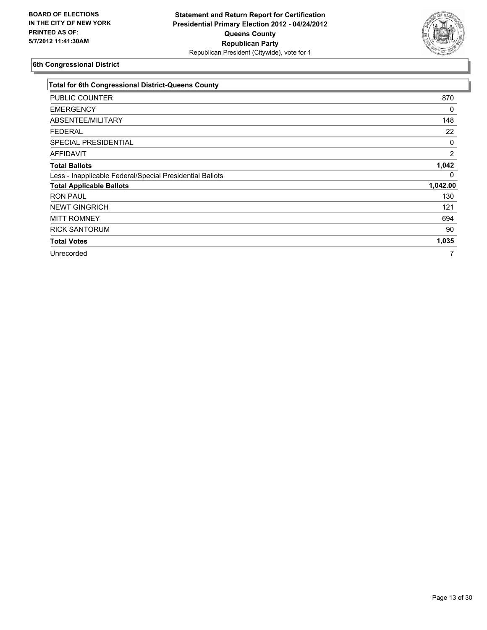

| <b>Total for 6th Congressional District-Queens County</b> |                |
|-----------------------------------------------------------|----------------|
| PUBLIC COUNTER                                            | 870            |
| <b>EMERGENCY</b>                                          | 0              |
| ABSENTEE/MILITARY                                         | 148            |
| <b>FEDERAL</b>                                            | 22             |
| SPECIAL PRESIDENTIAL                                      | 0              |
| <b>AFFIDAVIT</b>                                          | $\overline{2}$ |
| <b>Total Ballots</b>                                      | 1,042          |
| Less - Inapplicable Federal/Special Presidential Ballots  | 0              |
| <b>Total Applicable Ballots</b>                           | 1,042.00       |
| <b>RON PAUL</b>                                           | 130            |
| <b>NEWT GINGRICH</b>                                      | 121            |
| <b>MITT ROMNEY</b>                                        | 694            |
| <b>RICK SANTORUM</b>                                      | 90             |
| <b>Total Votes</b>                                        | 1,035          |
| Unrecorded                                                |                |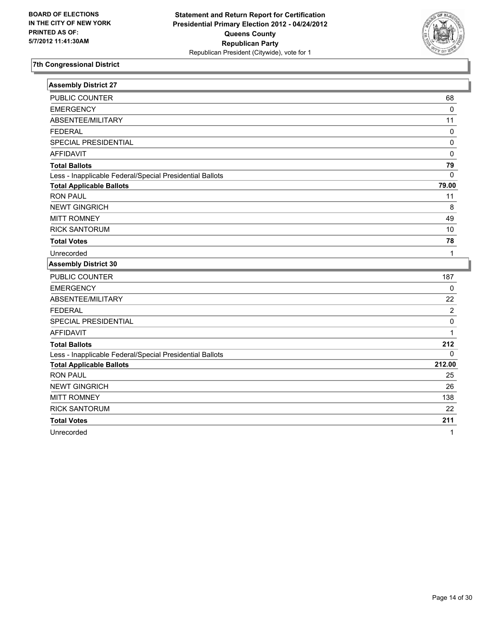

| <b>Assembly District 27</b>                              |                |
|----------------------------------------------------------|----------------|
| <b>PUBLIC COUNTER</b>                                    | 68             |
| <b>EMERGENCY</b>                                         | 0              |
| ABSENTEE/MILITARY                                        | 11             |
| <b>FEDERAL</b>                                           | 0              |
| SPECIAL PRESIDENTIAL                                     | $\pmb{0}$      |
| <b>AFFIDAVIT</b>                                         | 0              |
| <b>Total Ballots</b>                                     | 79             |
| Less - Inapplicable Federal/Special Presidential Ballots | $\Omega$       |
| <b>Total Applicable Ballots</b>                          | 79.00          |
| <b>RON PAUL</b>                                          | 11             |
| <b>NEWT GINGRICH</b>                                     | 8              |
| <b>MITT ROMNEY</b>                                       | 49             |
| <b>RICK SANTORUM</b>                                     | 10             |
| <b>Total Votes</b>                                       | 78             |
| Unrecorded                                               | 1              |
|                                                          |                |
| <b>Assembly District 30</b>                              |                |
| PUBLIC COUNTER                                           | 187            |
| <b>EMERGENCY</b>                                         | $\mathbf 0$    |
| ABSENTEE/MILITARY                                        | 22             |
| <b>FEDERAL</b>                                           | $\overline{2}$ |
| SPECIAL PRESIDENTIAL                                     | $\pmb{0}$      |
| <b>AFFIDAVIT</b>                                         | $\mathbf{1}$   |
| <b>Total Ballots</b>                                     | 212            |
| Less - Inapplicable Federal/Special Presidential Ballots | $\Omega$       |
| <b>Total Applicable Ballots</b>                          | 212.00         |
| <b>RON PAUL</b>                                          | 25             |
| <b>NEWT GINGRICH</b>                                     | 26             |
| <b>MITT ROMNEY</b>                                       | 138            |
| <b>RICK SANTORUM</b>                                     | 22             |
| <b>Total Votes</b>                                       | 211            |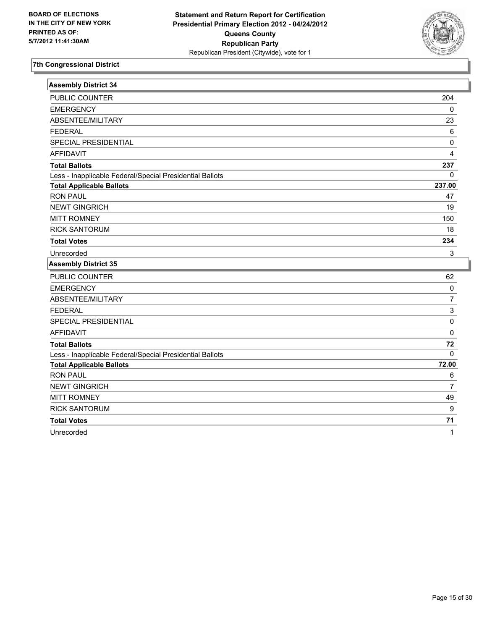

| <b>Assembly District 34</b>                              |                  |
|----------------------------------------------------------|------------------|
| <b>PUBLIC COUNTER</b>                                    | 204              |
| <b>EMERGENCY</b>                                         | 0                |
| ABSENTEE/MILITARY                                        | 23               |
| <b>FEDERAL</b>                                           | $\,6\,$          |
| SPECIAL PRESIDENTIAL                                     | 0                |
| <b>AFFIDAVIT</b>                                         | 4                |
| <b>Total Ballots</b>                                     | 237              |
| Less - Inapplicable Federal/Special Presidential Ballots | 0                |
| <b>Total Applicable Ballots</b>                          | 237.00           |
| <b>RON PAUL</b>                                          | 47               |
| <b>NEWT GINGRICH</b>                                     | 19               |
| <b>MITT ROMNEY</b>                                       | 150              |
| <b>RICK SANTORUM</b>                                     | 18               |
| <b>Total Votes</b>                                       | 234              |
| Unrecorded                                               | 3                |
| <b>Assembly District 35</b>                              |                  |
| <b>PUBLIC COUNTER</b>                                    | 62               |
| <b>EMERGENCY</b>                                         | $\pmb{0}$        |
| ABSENTEE/MILITARY                                        | 7                |
| <b>FEDERAL</b>                                           | 3                |
| SPECIAL PRESIDENTIAL                                     | 0                |
| <b>AFFIDAVIT</b>                                         | 0                |
| <b>Total Ballots</b>                                     | 72               |
| Less - Inapplicable Federal/Special Presidential Ballots | $\mathbf{0}$     |
| <b>Total Applicable Ballots</b>                          | 72.00            |
| <b>RON PAUL</b>                                          | 6                |
| <b>NEWT GINGRICH</b>                                     | 7                |
| <b>MITT ROMNEY</b>                                       | 49               |
| <b>RICK SANTORUM</b>                                     | $\boldsymbol{9}$ |
| <b>Total Votes</b>                                       | 71               |
| Unrecorded                                               | 1                |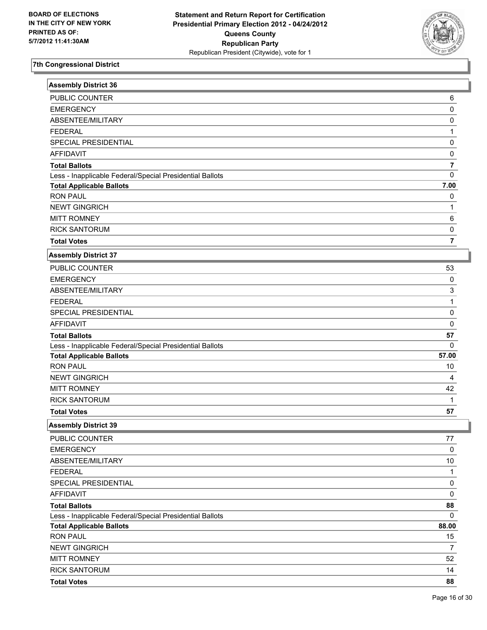

| <b>Assembly District 36</b>                              |                |
|----------------------------------------------------------|----------------|
| PUBLIC COUNTER                                           | 6              |
| <b>EMERGENCY</b>                                         | $\pmb{0}$      |
| ABSENTEE/MILITARY                                        | $\pmb{0}$      |
| <b>FEDERAL</b>                                           | $\mathbf{1}$   |
| SPECIAL PRESIDENTIAL                                     | $\pmb{0}$      |
| <b>AFFIDAVIT</b>                                         | $\pmb{0}$      |
| <b>Total Ballots</b>                                     | $\overline{7}$ |
| Less - Inapplicable Federal/Special Presidential Ballots | $\mathbf 0$    |
| <b>Total Applicable Ballots</b>                          | 7.00           |
| <b>RON PAUL</b>                                          | 0              |
| <b>NEWT GINGRICH</b>                                     | $\mathbf 1$    |
| <b>MITT ROMNEY</b>                                       | 6              |
| <b>RICK SANTORUM</b>                                     | 0              |
| <b>Total Votes</b>                                       | $\overline{7}$ |
| <b>Assembly District 37</b>                              |                |
| <b>PUBLIC COUNTER</b>                                    | 53             |
| <b>EMERGENCY</b>                                         | 0              |
| ABSENTEE/MILITARY                                        | $\mathbf{3}$   |
| <b>FEDERAL</b>                                           | $\mathbf{1}$   |
| SPECIAL PRESIDENTIAL                                     | $\pmb{0}$      |
| <b>AFFIDAVIT</b>                                         | $\mathbf 0$    |
| <b>Total Ballots</b>                                     | 57             |
| Less - Inapplicable Federal/Special Presidential Ballots | $\mathbf 0$    |
| <b>Total Applicable Ballots</b>                          | 57.00          |
| <b>RON PAUL</b>                                          | 10             |
| <b>NEWT GINGRICH</b>                                     | 4              |
| <b>MITT ROMNEY</b>                                       | 42             |
| <b>RICK SANTORUM</b>                                     | 1              |
| <b>Total Votes</b>                                       | 57             |
| <b>Assembly District 39</b>                              |                |
| PUBLIC COUNTER                                           | 77             |
| <b>EMERGENCY</b>                                         | 0              |
| ABSENTEE/MILITARY                                        | 10             |
| <b>FEDERAL</b>                                           | 1              |
| SPECIAL PRESIDENTIAL                                     | $\pmb{0}$      |
| <b>AFFIDAVIT</b>                                         | $\mathbf 0$    |
| <b>Total Ballots</b>                                     | 88             |
| Less - Inapplicable Federal/Special Presidential Ballots | $\mathbf{0}$   |
| <b>Total Applicable Ballots</b>                          | 88.00          |
| <b>RON PAUL</b>                                          | 15             |
| <b>NEWT GINGRICH</b>                                     | $\overline{7}$ |
| <b>MITT ROMNEY</b>                                       | 52             |
| <b>RICK SANTORUM</b>                                     | 14             |
| <b>Total Votes</b>                                       | 88             |

I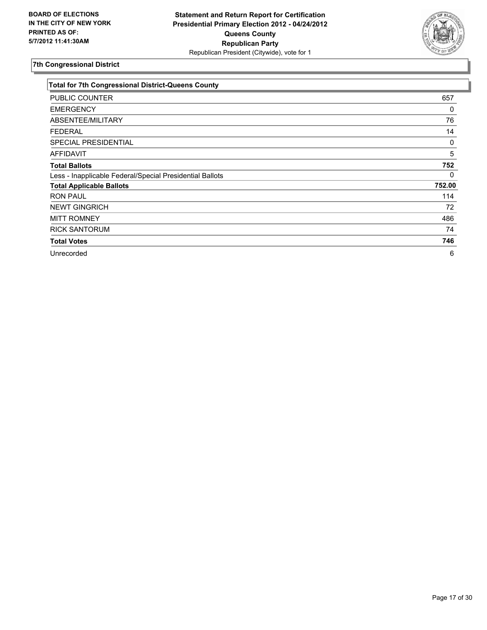

| <b>Total for 7th Congressional District-Queens County</b> |        |
|-----------------------------------------------------------|--------|
| <b>PUBLIC COUNTER</b>                                     | 657    |
| <b>EMERGENCY</b>                                          | 0      |
| ABSENTEE/MILITARY                                         | 76     |
| <b>FEDERAL</b>                                            | 14     |
| <b>SPECIAL PRESIDENTIAL</b>                               | 0      |
| <b>AFFIDAVIT</b>                                          | 5      |
| <b>Total Ballots</b>                                      | 752    |
| Less - Inapplicable Federal/Special Presidential Ballots  | 0      |
| <b>Total Applicable Ballots</b>                           | 752.00 |
| <b>RON PAUL</b>                                           | 114    |
| <b>NEWT GINGRICH</b>                                      | 72     |
| <b>MITT ROMNEY</b>                                        | 486    |
| <b>RICK SANTORUM</b>                                      | 74     |
| <b>Total Votes</b>                                        | 746    |
| Unrecorded                                                | 6      |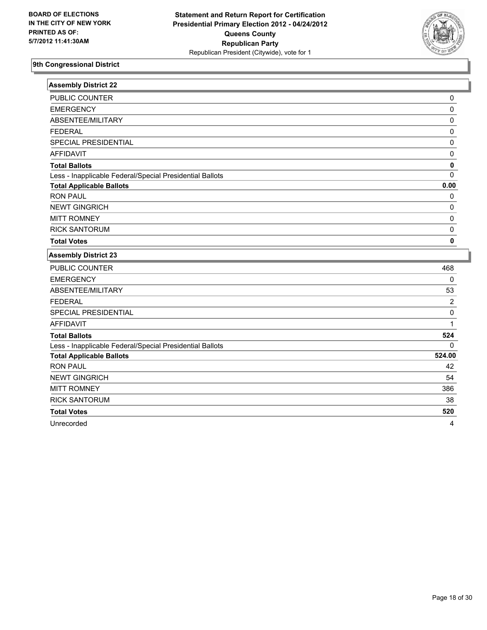

| <b>Assembly District 22</b>                              |             |
|----------------------------------------------------------|-------------|
| PUBLIC COUNTER                                           | 0           |
| <b>EMERGENCY</b>                                         | 0           |
| ABSENTEE/MILITARY                                        | 0           |
| <b>FEDERAL</b>                                           | $\pmb{0}$   |
| SPECIAL PRESIDENTIAL                                     | 0           |
| <b>AFFIDAVIT</b>                                         | 0           |
| <b>Total Ballots</b>                                     | $\mathbf 0$ |
| Less - Inapplicable Federal/Special Presidential Ballots | $\Omega$    |
| <b>Total Applicable Ballots</b>                          | 0.00        |
| <b>RON PAUL</b>                                          | 0           |
| <b>NEWT GINGRICH</b>                                     | 0           |
| <b>MITT ROMNEY</b>                                       | 0           |
| <b>RICK SANTORUM</b>                                     | 0           |
| <b>Total Votes</b>                                       | 0           |
| <b>Assembly District 23</b>                              |             |
| PUBLIC COUNTER                                           | 468         |
| <b>EMERGENCY</b>                                         | $\mathbf 0$ |
| ABSENTEE/MILITARY                                        | 53          |
| <b>FEDERAL</b>                                           | 2           |
| SPECIAL PRESIDENTIAL                                     | 0           |
| <b>AFFIDAVIT</b>                                         | 1           |
| <b>Total Ballots</b>                                     | 524         |
| Less - Inapplicable Federal/Special Presidential Ballots | $\Omega$    |
| <b>Total Applicable Ballots</b>                          | 524.00      |
| <b>RON PAUL</b>                                          | 42          |
| <b>NEWT GINGRICH</b>                                     | 54          |
| <b>MITT ROMNEY</b>                                       | 386         |

RICK SANTORUM 38

**Total Votes 520** 

Unrecorded 4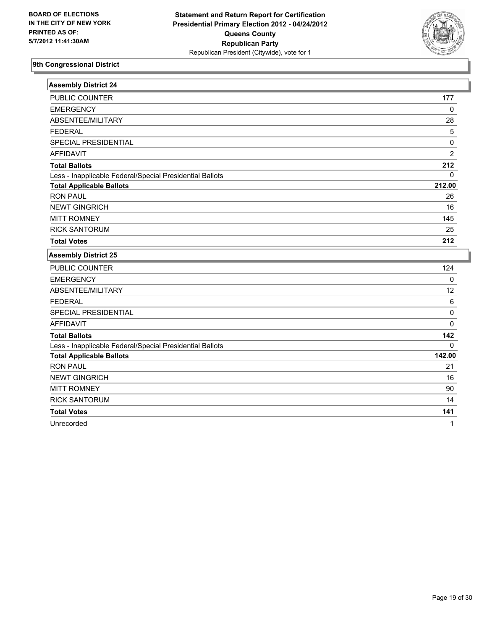

| <b>Assembly District 24</b>                              |                |
|----------------------------------------------------------|----------------|
| PUBLIC COUNTER                                           | 177            |
| <b>EMERGENCY</b>                                         | $\mathbf{0}$   |
| ABSENTEE/MILITARY                                        | 28             |
| <b>FEDERAL</b>                                           | 5              |
| SPECIAL PRESIDENTIAL                                     | 0              |
| <b>AFFIDAVIT</b>                                         | $\overline{2}$ |
| <b>Total Ballots</b>                                     | 212            |
| Less - Inapplicable Federal/Special Presidential Ballots | 0              |
| <b>Total Applicable Ballots</b>                          | 212.00         |
| <b>RON PAUL</b>                                          | 26             |
| <b>NEWT GINGRICH</b>                                     | 16             |
| <b>MITT ROMNEY</b>                                       | 145            |
| <b>RICK SANTORUM</b>                                     | 25             |
| <b>Total Votes</b>                                       | 212            |
| <b>Assembly District 25</b>                              |                |
| PUBLIC COUNTER                                           | 124            |
| <b>EMERGENCY</b>                                         | $\mathbf 0$    |
| ABSENTEE/MILITARY                                        | 12             |
| <b>FEDERAL</b>                                           | 6              |
| SPECIAL PRESIDENTIAL                                     | $\mathbf 0$    |
| <b>AFFIDAVIT</b>                                         | 0              |
| <b>Total Ballots</b>                                     | 142            |
| Less - Inapplicable Federal/Special Presidential Ballots | 0              |
| <b>Total Applicable Ballots</b>                          | 142.00         |
| <b>RON PAUL</b>                                          | 21             |
| <b>NEWT GINGRICH</b>                                     | 16             |

MITT ROMNEY 90 RICK SANTORUM 14 **Total Votes 141**  Unrecorded 1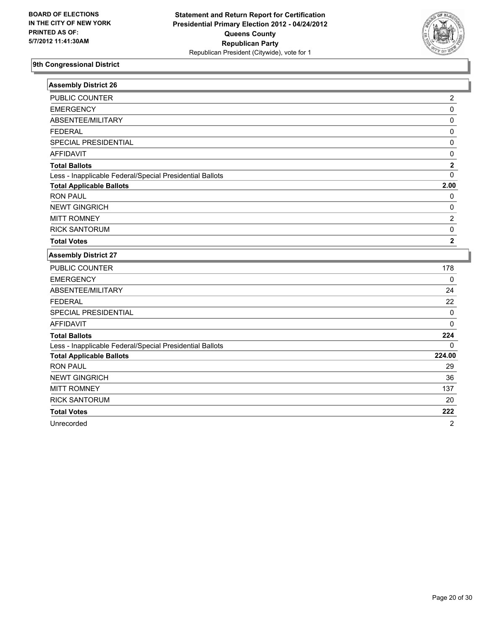

| <b>Assembly District 26</b>                              |                  |
|----------------------------------------------------------|------------------|
| PUBLIC COUNTER                                           | $\boldsymbol{2}$ |
| <b>EMERGENCY</b>                                         | $\mathbf 0$      |
| ABSENTEE/MILITARY                                        | $\mathbf 0$      |
| <b>FEDERAL</b>                                           | $\pmb{0}$        |
| SPECIAL PRESIDENTIAL                                     | $\pmb{0}$        |
| <b>AFFIDAVIT</b>                                         | $\pmb{0}$        |
| <b>Total Ballots</b>                                     | $\boldsymbol{2}$ |
| Less - Inapplicable Federal/Special Presidential Ballots | $\mathbf 0$      |
| <b>Total Applicable Ballots</b>                          | 2.00             |
| <b>RON PAUL</b>                                          | 0                |
| <b>NEWT GINGRICH</b>                                     | 0                |
| <b>MITT ROMNEY</b>                                       | $\overline{2}$   |
| <b>RICK SANTORUM</b>                                     | $\pmb{0}$        |
| <b>Total Votes</b>                                       | $\mathbf 2$      |
| <b>Assembly District 27</b>                              |                  |
| PUBLIC COUNTER                                           | 178              |
| <b>EMERGENCY</b>                                         | $\mathbf 0$      |
| ABSENTEE/MILITARY                                        | 24               |
| <b>FEDERAL</b>                                           | 22               |
| SPECIAL PRESIDENTIAL                                     | $\pmb{0}$        |
| <b>AFFIDAVIT</b>                                         | $\Omega$         |
| <b>Total Ballots</b>                                     | 224              |
| Less - Inapplicable Federal/Special Presidential Ballots | $\Omega$         |
| <b>Total Applicable Ballots</b>                          | 224.00           |
| <b>RON PAUL</b>                                          | 29               |
| <b>NEWT GINGRICH</b>                                     | 36               |
| <b>MITT ROMNEY</b>                                       | 137              |
| <b>RICK SANTORUM</b>                                     | 20               |
| <b>Total Votes</b>                                       | 222              |
| Unrecorded                                               | $\overline{2}$   |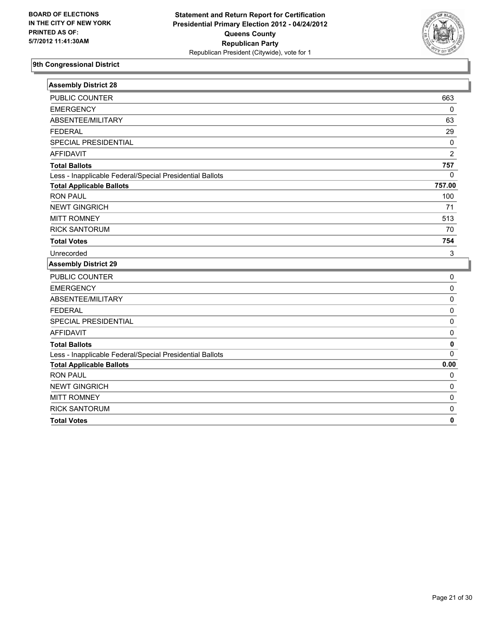

| <b>Assembly District 28</b>                              |                |
|----------------------------------------------------------|----------------|
| PUBLIC COUNTER                                           | 663            |
| <b>EMERGENCY</b>                                         | 0              |
| ABSENTEE/MILITARY                                        | 63             |
| <b>FEDERAL</b>                                           | 29             |
| SPECIAL PRESIDENTIAL                                     | $\pmb{0}$      |
| <b>AFFIDAVIT</b>                                         | $\overline{2}$ |
| <b>Total Ballots</b>                                     | 757            |
| Less - Inapplicable Federal/Special Presidential Ballots | 0              |
| <b>Total Applicable Ballots</b>                          | 757.00         |
| <b>RON PAUL</b>                                          | 100            |
| <b>NEWT GINGRICH</b>                                     | 71             |
| <b>MITT ROMNEY</b>                                       | 513            |
| <b>RICK SANTORUM</b>                                     | 70             |
| <b>Total Votes</b>                                       | 754            |
| Unrecorded                                               | 3              |
| <b>Assembly District 29</b>                              |                |
| PUBLIC COUNTER                                           | 0              |
| <b>EMERGENCY</b>                                         | 0              |
| ABSENTEE/MILITARY                                        | 0              |
| <b>FEDERAL</b>                                           | 0              |
| SPECIAL PRESIDENTIAL                                     | 0              |
| <b>AFFIDAVIT</b>                                         | 0              |
| <b>Total Ballots</b>                                     | 0              |
| Less - Inapplicable Federal/Special Presidential Ballots | $\Omega$       |
| <b>Total Applicable Ballots</b>                          | 0.00           |
| <b>RON PAUL</b>                                          | 0              |
| <b>NEWT GINGRICH</b>                                     | 0              |
| <b>MITT ROMNEY</b>                                       | 0              |
| <b>RICK SANTORUM</b>                                     | 0              |
| <b>Total Votes</b>                                       | $\mathbf 0$    |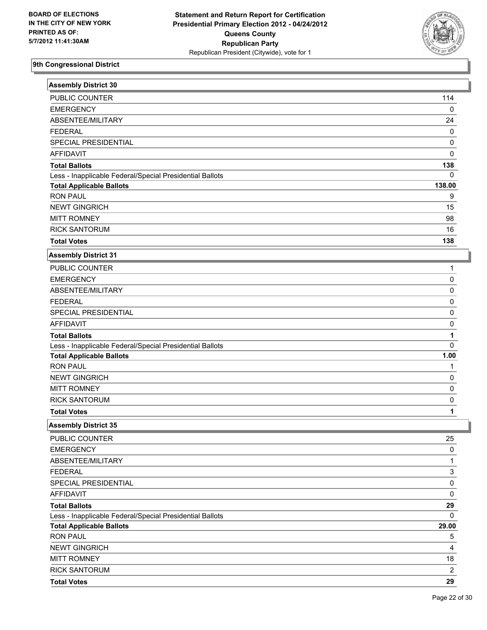

| <b>Assembly District 30</b>                              |                           |
|----------------------------------------------------------|---------------------------|
| PUBLIC COUNTER                                           | 114                       |
| <b>EMERGENCY</b>                                         | 0                         |
| ABSENTEE/MILITARY                                        | 24                        |
| <b>FEDERAL</b>                                           | 0                         |
| SPECIAL PRESIDENTIAL                                     | 0                         |
| <b>AFFIDAVIT</b>                                         | 0                         |
| <b>Total Ballots</b>                                     | 138                       |
| Less - Inapplicable Federal/Special Presidential Ballots | 0                         |
| <b>Total Applicable Ballots</b>                          | 138.00                    |
| <b>RON PAUL</b>                                          | 9                         |
| <b>NEWT GINGRICH</b>                                     | 15                        |
| <b>MITT ROMNEY</b>                                       | 98                        |
| <b>RICK SANTORUM</b>                                     | 16                        |
| <b>Total Votes</b>                                       | 138                       |
| <b>Assembly District 31</b>                              |                           |
| PUBLIC COUNTER                                           | 1                         |
| <b>EMERGENCY</b>                                         | $\pmb{0}$                 |
| ABSENTEE/MILITARY                                        | $\pmb{0}$                 |
| <b>FEDERAL</b>                                           | $\pmb{0}$                 |
| SPECIAL PRESIDENTIAL                                     | 0                         |
| <b>AFFIDAVIT</b>                                         | 0                         |
| <b>Total Ballots</b>                                     | 1                         |
| Less - Inapplicable Federal/Special Presidential Ballots | $\overline{0}$            |
| <b>Total Applicable Ballots</b>                          | 1.00                      |
| <b>RON PAUL</b>                                          | 1                         |
| <b>NEWT GINGRICH</b>                                     | 0                         |
| <b>MITT ROMNEY</b>                                       | $\pmb{0}$                 |
| <b>RICK SANTORUM</b>                                     | $\pmb{0}$                 |
| <b>Total Votes</b>                                       | 1                         |
| <b>Assembly District 35</b>                              |                           |
| PUBLIC COUNTER                                           | 25                        |
| <b>EMERGENCY</b>                                         | $\pmb{0}$                 |
| ABSENTEE/MILITARY                                        | $\mathbf{1}$              |
| <b>FEDERAL</b>                                           | $\ensuremath{\mathsf{3}}$ |
| SPECIAL PRESIDENTIAL                                     | $\pmb{0}$                 |
| <b>AFFIDAVIT</b>                                         | $\pmb{0}$                 |
| <b>Total Ballots</b>                                     | 29                        |
| Less - Inapplicable Federal/Special Presidential Ballots | $\Omega$                  |
| <b>Total Applicable Ballots</b>                          | 29.00                     |
| <b>RON PAUL</b>                                          | 5                         |
| <b>NEWT GINGRICH</b>                                     | 4                         |
| <b>MITT ROMNEY</b>                                       | 18                        |
| <b>RICK SANTORUM</b>                                     | $\overline{2}$            |
| <b>Total Votes</b>                                       | 29                        |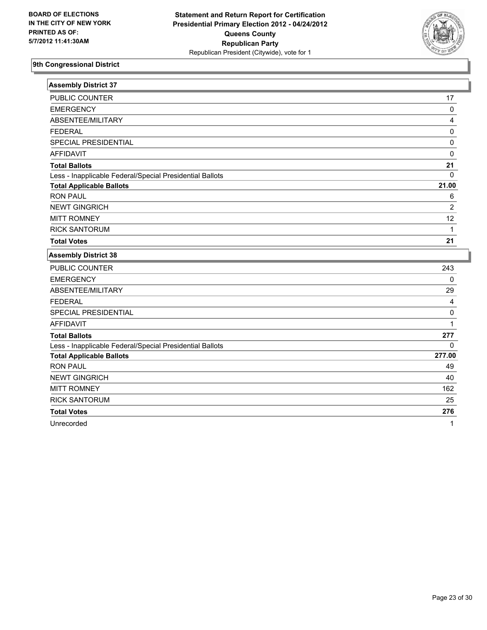

| PUBLIC COUNTER<br><b>EMERGENCY</b><br>ABSENTEE/MILITARY<br><b>FEDERAL</b><br>SPECIAL PRESIDENTIAL<br><b>AFFIDAVIT</b><br><b>Total Ballots</b><br>Less - Inapplicable Federal/Special Presidential Ballots<br><b>Total Applicable Ballots</b><br><b>RON PAUL</b><br><b>NEWT GINGRICH</b><br><b>MITT ROMNEY</b><br><b>RICK SANTORUM</b><br><b>Total Votes</b><br><b>Assembly District 38</b><br><b>PUBLIC COUNTER</b><br><b>EMERGENCY</b><br>ABSENTEE/MILITARY<br><b>FEDERAL</b><br>SPECIAL PRESIDENTIAL<br><b>AFFIDAVIT</b><br><b>Total Ballots</b><br>Less - Inapplicable Federal/Special Presidential Ballots<br><b>Total Applicable Ballots</b><br><b>RON PAUL</b><br><b>NEWT GINGRICH</b><br><b>MITT ROMNEY</b><br><b>RICK SANTORUM</b> | <b>Assembly District 37</b> |                |
|--------------------------------------------------------------------------------------------------------------------------------------------------------------------------------------------------------------------------------------------------------------------------------------------------------------------------------------------------------------------------------------------------------------------------------------------------------------------------------------------------------------------------------------------------------------------------------------------------------------------------------------------------------------------------------------------------------------------------------------------|-----------------------------|----------------|
|                                                                                                                                                                                                                                                                                                                                                                                                                                                                                                                                                                                                                                                                                                                                            |                             | 17             |
|                                                                                                                                                                                                                                                                                                                                                                                                                                                                                                                                                                                                                                                                                                                                            |                             | 0              |
|                                                                                                                                                                                                                                                                                                                                                                                                                                                                                                                                                                                                                                                                                                                                            |                             | 4              |
|                                                                                                                                                                                                                                                                                                                                                                                                                                                                                                                                                                                                                                                                                                                                            |                             | $\pmb{0}$      |
|                                                                                                                                                                                                                                                                                                                                                                                                                                                                                                                                                                                                                                                                                                                                            |                             | 0              |
|                                                                                                                                                                                                                                                                                                                                                                                                                                                                                                                                                                                                                                                                                                                                            |                             | $\mathbf 0$    |
|                                                                                                                                                                                                                                                                                                                                                                                                                                                                                                                                                                                                                                                                                                                                            |                             | 21             |
|                                                                                                                                                                                                                                                                                                                                                                                                                                                                                                                                                                                                                                                                                                                                            |                             | $\mathbf 0$    |
|                                                                                                                                                                                                                                                                                                                                                                                                                                                                                                                                                                                                                                                                                                                                            |                             | 21.00          |
|                                                                                                                                                                                                                                                                                                                                                                                                                                                                                                                                                                                                                                                                                                                                            |                             | 6              |
|                                                                                                                                                                                                                                                                                                                                                                                                                                                                                                                                                                                                                                                                                                                                            |                             | $\overline{2}$ |
|                                                                                                                                                                                                                                                                                                                                                                                                                                                                                                                                                                                                                                                                                                                                            |                             | 12             |
|                                                                                                                                                                                                                                                                                                                                                                                                                                                                                                                                                                                                                                                                                                                                            |                             | $\mathbf{1}$   |
|                                                                                                                                                                                                                                                                                                                                                                                                                                                                                                                                                                                                                                                                                                                                            |                             | 21             |
|                                                                                                                                                                                                                                                                                                                                                                                                                                                                                                                                                                                                                                                                                                                                            |                             |                |
|                                                                                                                                                                                                                                                                                                                                                                                                                                                                                                                                                                                                                                                                                                                                            |                             | 243            |
|                                                                                                                                                                                                                                                                                                                                                                                                                                                                                                                                                                                                                                                                                                                                            |                             | $\mathbf 0$    |
|                                                                                                                                                                                                                                                                                                                                                                                                                                                                                                                                                                                                                                                                                                                                            |                             | 29             |
|                                                                                                                                                                                                                                                                                                                                                                                                                                                                                                                                                                                                                                                                                                                                            |                             | 4              |
|                                                                                                                                                                                                                                                                                                                                                                                                                                                                                                                                                                                                                                                                                                                                            |                             | $\pmb{0}$      |
|                                                                                                                                                                                                                                                                                                                                                                                                                                                                                                                                                                                                                                                                                                                                            |                             | 1              |
|                                                                                                                                                                                                                                                                                                                                                                                                                                                                                                                                                                                                                                                                                                                                            |                             | 277            |
|                                                                                                                                                                                                                                                                                                                                                                                                                                                                                                                                                                                                                                                                                                                                            |                             | 0              |
|                                                                                                                                                                                                                                                                                                                                                                                                                                                                                                                                                                                                                                                                                                                                            |                             | 277.00         |
|                                                                                                                                                                                                                                                                                                                                                                                                                                                                                                                                                                                                                                                                                                                                            |                             | 49             |
|                                                                                                                                                                                                                                                                                                                                                                                                                                                                                                                                                                                                                                                                                                                                            |                             | 40             |
|                                                                                                                                                                                                                                                                                                                                                                                                                                                                                                                                                                                                                                                                                                                                            |                             | 162            |
|                                                                                                                                                                                                                                                                                                                                                                                                                                                                                                                                                                                                                                                                                                                                            |                             | 25             |

**Total Votes 276** 

Unrecorded 1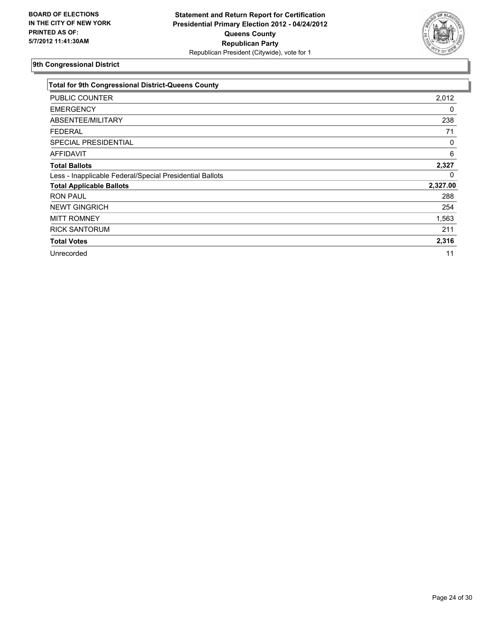

| <b>Total for 9th Congressional District-Queens County</b> |          |
|-----------------------------------------------------------|----------|
| <b>PUBLIC COUNTER</b>                                     | 2,012    |
| <b>EMERGENCY</b>                                          | 0        |
| ABSENTEE/MILITARY                                         | 238      |
| <b>FEDERAL</b>                                            | 71       |
| <b>SPECIAL PRESIDENTIAL</b>                               | 0        |
| <b>AFFIDAVIT</b>                                          | 6        |
| <b>Total Ballots</b>                                      | 2,327    |
| Less - Inapplicable Federal/Special Presidential Ballots  | 0        |
| <b>Total Applicable Ballots</b>                           | 2,327.00 |
| <b>RON PAUL</b>                                           | 288      |
| <b>NEWT GINGRICH</b>                                      | 254      |
| <b>MITT ROMNEY</b>                                        | 1,563    |
| <b>RICK SANTORUM</b>                                      | 211      |
| <b>Total Votes</b>                                        | 2,316    |
| Unrecorded                                                | 11       |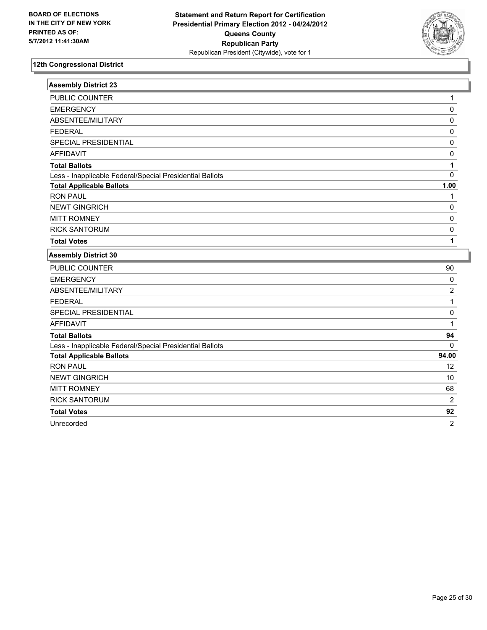

| <b>PUBLIC COUNTER</b><br><b>EMERGENCY</b><br>ABSENTEE/MILITARY<br><b>FEDERAL</b><br><b>SPECIAL PRESIDENTIAL</b><br><b>AFFIDAVIT</b><br><b>Total Ballots</b><br>Less - Inapplicable Federal/Special Presidential Ballots<br><b>Total Applicable Ballots</b><br><b>RON PAUL</b><br><b>NEWT GINGRICH</b><br><b>MITT ROMNEY</b><br><b>RICK SANTORUM</b><br><b>Total Votes</b><br><b>Assembly District 30</b><br>PUBLIC COUNTER<br><b>EMERGENCY</b><br>ABSENTEE/MILITARY<br><b>FEDERAL</b><br>SPECIAL PRESIDENTIAL<br><b>AFFIDAVIT</b> | 1<br>$\mathbf 0$<br>$\pmb{0}$<br>$\mathsf 0$<br>$\pmb{0}$<br>0<br>1<br>$\mathbf 0$<br>1.00<br>$\mathbf{1}$<br>$\pmb{0}$<br>$\pmb{0}$ |
|-----------------------------------------------------------------------------------------------------------------------------------------------------------------------------------------------------------------------------------------------------------------------------------------------------------------------------------------------------------------------------------------------------------------------------------------------------------------------------------------------------------------------------------|--------------------------------------------------------------------------------------------------------------------------------------|
|                                                                                                                                                                                                                                                                                                                                                                                                                                                                                                                                   |                                                                                                                                      |
|                                                                                                                                                                                                                                                                                                                                                                                                                                                                                                                                   |                                                                                                                                      |
|                                                                                                                                                                                                                                                                                                                                                                                                                                                                                                                                   |                                                                                                                                      |
|                                                                                                                                                                                                                                                                                                                                                                                                                                                                                                                                   |                                                                                                                                      |
|                                                                                                                                                                                                                                                                                                                                                                                                                                                                                                                                   |                                                                                                                                      |
|                                                                                                                                                                                                                                                                                                                                                                                                                                                                                                                                   |                                                                                                                                      |
|                                                                                                                                                                                                                                                                                                                                                                                                                                                                                                                                   |                                                                                                                                      |
|                                                                                                                                                                                                                                                                                                                                                                                                                                                                                                                                   |                                                                                                                                      |
|                                                                                                                                                                                                                                                                                                                                                                                                                                                                                                                                   |                                                                                                                                      |
|                                                                                                                                                                                                                                                                                                                                                                                                                                                                                                                                   |                                                                                                                                      |
|                                                                                                                                                                                                                                                                                                                                                                                                                                                                                                                                   |                                                                                                                                      |
|                                                                                                                                                                                                                                                                                                                                                                                                                                                                                                                                   |                                                                                                                                      |
|                                                                                                                                                                                                                                                                                                                                                                                                                                                                                                                                   | $\pmb{0}$                                                                                                                            |
|                                                                                                                                                                                                                                                                                                                                                                                                                                                                                                                                   | 1                                                                                                                                    |
|                                                                                                                                                                                                                                                                                                                                                                                                                                                                                                                                   |                                                                                                                                      |
|                                                                                                                                                                                                                                                                                                                                                                                                                                                                                                                                   | 90                                                                                                                                   |
|                                                                                                                                                                                                                                                                                                                                                                                                                                                                                                                                   | 0                                                                                                                                    |
|                                                                                                                                                                                                                                                                                                                                                                                                                                                                                                                                   | $\overline{2}$                                                                                                                       |
|                                                                                                                                                                                                                                                                                                                                                                                                                                                                                                                                   | $\mathbf{1}$                                                                                                                         |
|                                                                                                                                                                                                                                                                                                                                                                                                                                                                                                                                   | $\pmb{0}$                                                                                                                            |
|                                                                                                                                                                                                                                                                                                                                                                                                                                                                                                                                   | $\mathbf{1}$                                                                                                                         |
| <b>Total Ballots</b>                                                                                                                                                                                                                                                                                                                                                                                                                                                                                                              | 94                                                                                                                                   |
| Less - Inapplicable Federal/Special Presidential Ballots                                                                                                                                                                                                                                                                                                                                                                                                                                                                          | $\Omega$                                                                                                                             |
| <b>Total Applicable Ballots</b>                                                                                                                                                                                                                                                                                                                                                                                                                                                                                                   | 94.00                                                                                                                                |
| <b>RON PAUL</b>                                                                                                                                                                                                                                                                                                                                                                                                                                                                                                                   | 12 <sup>2</sup>                                                                                                                      |
| <b>NEWT GINGRICH</b>                                                                                                                                                                                                                                                                                                                                                                                                                                                                                                              | 10                                                                                                                                   |
| <b>MITT ROMNEY</b>                                                                                                                                                                                                                                                                                                                                                                                                                                                                                                                |                                                                                                                                      |
| <b>RICK SANTORUM</b>                                                                                                                                                                                                                                                                                                                                                                                                                                                                                                              | 68                                                                                                                                   |
| <b>Total Votes</b>                                                                                                                                                                                                                                                                                                                                                                                                                                                                                                                | $\overline{2}$                                                                                                                       |

Unrecorded 2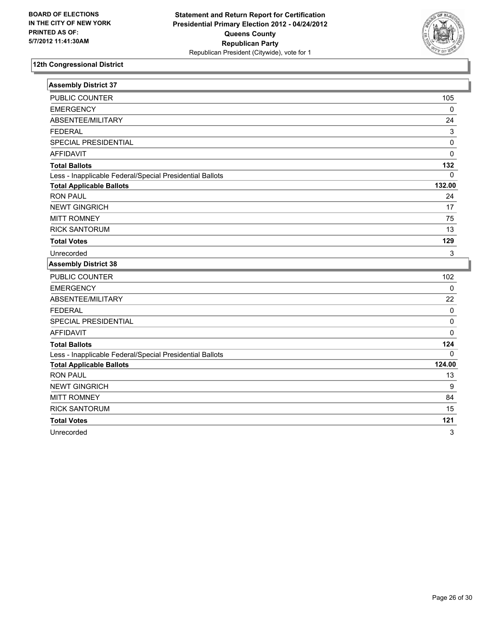

| <b>Assembly District 37</b>                              |             |
|----------------------------------------------------------|-------------|
| PUBLIC COUNTER                                           | 105         |
| <b>EMERGENCY</b>                                         | 0           |
| ABSENTEE/MILITARY                                        | 24          |
| <b>FEDERAL</b>                                           | $\mathsf 3$ |
| SPECIAL PRESIDENTIAL                                     | 0           |
| <b>AFFIDAVIT</b>                                         | 0           |
| <b>Total Ballots</b>                                     | 132         |
| Less - Inapplicable Federal/Special Presidential Ballots | 0           |
| <b>Total Applicable Ballots</b>                          | 132.00      |
| <b>RON PAUL</b>                                          | 24          |
| <b>NEWT GINGRICH</b>                                     | 17          |
| <b>MITT ROMNEY</b>                                       | 75          |
| <b>RICK SANTORUM</b>                                     | 13          |
| <b>Total Votes</b>                                       | 129         |
| Unrecorded                                               | 3           |
|                                                          |             |
| <b>Assembly District 38</b>                              |             |
| PUBLIC COUNTER                                           | 102         |
| <b>EMERGENCY</b>                                         | $\mathbf 0$ |
| ABSENTEE/MILITARY                                        | 22          |
| <b>FEDERAL</b>                                           | $\mathbf 0$ |
| SPECIAL PRESIDENTIAL                                     | $\pmb{0}$   |
| <b>AFFIDAVIT</b>                                         | $\mathbf 0$ |
| <b>Total Ballots</b>                                     | 124         |
| Less - Inapplicable Federal/Special Presidential Ballots | $\Omega$    |
| <b>Total Applicable Ballots</b>                          | 124.00      |
| <b>RON PAUL</b>                                          | 13          |
| <b>NEWT GINGRICH</b>                                     | 9           |
| <b>MITT ROMNEY</b>                                       | 84          |
| <b>RICK SANTORUM</b>                                     | 15          |
| <b>Total Votes</b>                                       | 121         |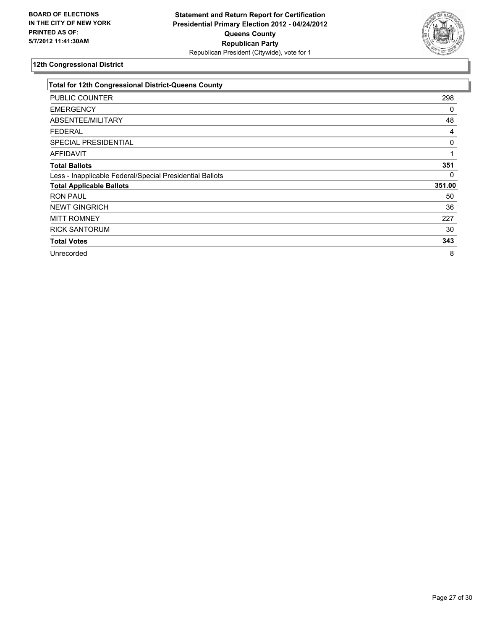

| <b>Total for 12th Congressional District-Queens County</b> |        |
|------------------------------------------------------------|--------|
| PUBLIC COUNTER                                             | 298    |
| <b>EMERGENCY</b>                                           | 0      |
| ABSENTEE/MILITARY                                          | 48     |
| <b>FEDERAL</b>                                             | 4      |
| <b>SPECIAL PRESIDENTIAL</b>                                | 0      |
| <b>AFFIDAVIT</b>                                           |        |
| <b>Total Ballots</b>                                       | 351    |
| Less - Inapplicable Federal/Special Presidential Ballots   | 0      |
| <b>Total Applicable Ballots</b>                            | 351.00 |
| <b>RON PAUL</b>                                            | 50     |
| <b>NEWT GINGRICH</b>                                       | 36     |
| <b>MITT ROMNEY</b>                                         | 227    |
| <b>RICK SANTORUM</b>                                       | 30     |
| <b>Total Votes</b>                                         | 343    |
| Unrecorded                                                 | 8      |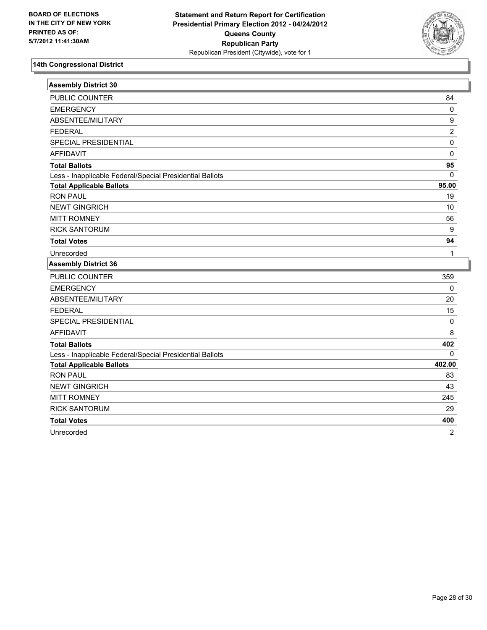

| <b>Assembly District 30</b>                              |                |
|----------------------------------------------------------|----------------|
| PUBLIC COUNTER                                           | 84             |
| <b>EMERGENCY</b>                                         | 0              |
| ABSENTEE/MILITARY                                        | 9              |
| <b>FEDERAL</b>                                           | 2              |
| SPECIAL PRESIDENTIAL                                     | 0              |
| <b>AFFIDAVIT</b>                                         | 0              |
| <b>Total Ballots</b>                                     | 95             |
| Less - Inapplicable Federal/Special Presidential Ballots | $\mathbf{0}$   |
| <b>Total Applicable Ballots</b>                          | 95.00          |
| <b>RON PAUL</b>                                          | 19             |
| <b>NEWT GINGRICH</b>                                     | 10             |
| <b>MITT ROMNEY</b>                                       | 56             |
| <b>RICK SANTORUM</b>                                     | 9              |
| <b>Total Votes</b>                                       | 94             |
| Unrecorded                                               | 1              |
| <b>Assembly District 36</b>                              |                |
| PUBLIC COUNTER                                           | 359            |
| <b>EMERGENCY</b>                                         | 0              |
| ABSENTEE/MILITARY                                        | 20             |
| <b>FEDERAL</b>                                           | 15             |
| SPECIAL PRESIDENTIAL                                     | $\mathbf 0$    |
| <b>AFFIDAVIT</b>                                         | 8              |
| <b>Total Ballots</b>                                     | 402            |
| Less - Inapplicable Federal/Special Presidential Ballots | 0              |
| <b>Total Applicable Ballots</b>                          | 402.00         |
| <b>RON PAUL</b>                                          | 83             |
| <b>NEWT GINGRICH</b>                                     | 43             |
| <b>MITT ROMNEY</b>                                       | 245            |
| <b>RICK SANTORUM</b>                                     | 29             |
| <b>Total Votes</b>                                       | 400            |
| Unrecorded                                               | $\overline{2}$ |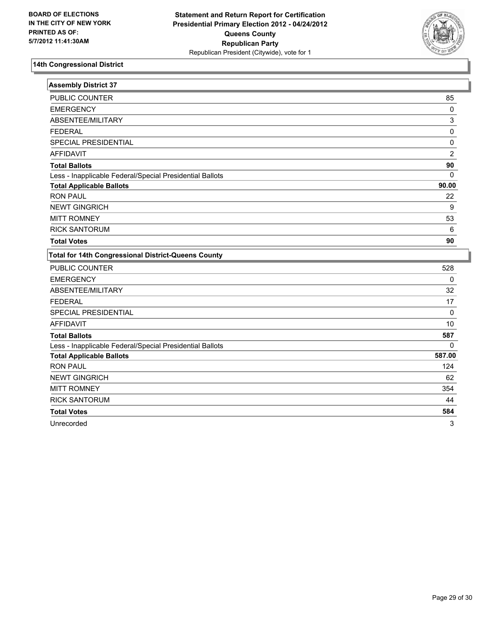

| <b>Assembly District 37</b>                                |                  |
|------------------------------------------------------------|------------------|
| <b>PUBLIC COUNTER</b>                                      | 85               |
| <b>EMERGENCY</b>                                           | 0                |
| ABSENTEE/MILITARY                                          | 3                |
| <b>FEDERAL</b>                                             | $\pmb{0}$        |
| SPECIAL PRESIDENTIAL                                       | 0                |
| <b>AFFIDAVIT</b>                                           | $\overline{c}$   |
| <b>Total Ballots</b>                                       | 90               |
| Less - Inapplicable Federal/Special Presidential Ballots   | $\Omega$         |
| <b>Total Applicable Ballots</b>                            | 90.00            |
| <b>RON PAUL</b>                                            | 22               |
| <b>NEWT GINGRICH</b>                                       | $\boldsymbol{9}$ |
| <b>MITT ROMNEY</b>                                         | 53               |
| <b>RICK SANTORUM</b>                                       | $\,6\,$          |
| <b>Total Votes</b>                                         | 90               |
| <b>Total for 14th Congressional District-Queens County</b> |                  |
| <b>PUBLIC COUNTER</b>                                      | 528              |
| <b>EMERGENCY</b>                                           | $\mathbf 0$      |
| ABSENTEE/MILITARY                                          | 32               |
| <b>FEDERAL</b>                                             | 17               |
| SPECIAL PRESIDENTIAL                                       | 0                |
| <b>AFFIDAVIT</b>                                           | 10               |
| <b>Total Ballots</b>                                       | 587              |
| Less - Inapplicable Federal/Special Presidential Ballots   | $\mathbf{0}$     |
| <b>Total Applicable Ballots</b>                            | 587.00           |
| <b>RON PAUL</b>                                            | 124              |
| <b>NEWT GINGRICH</b>                                       | 62               |
| <b>MITT ROMNEY</b>                                         | 354              |
| <b>RICK SANTORUM</b>                                       | 44               |
| <b>Total Votes</b>                                         | 584              |

Unrecorded 3